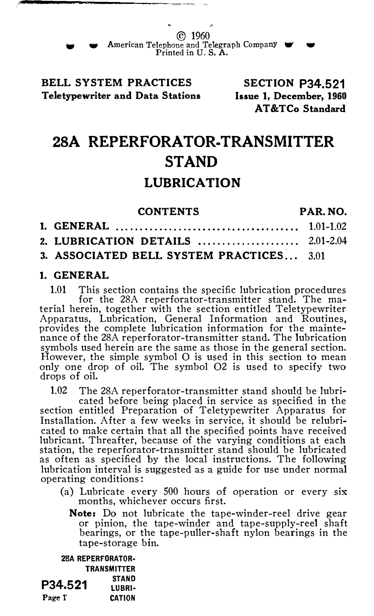#### BELL SYSTEM PRACTICES Teletypewriter and Data Stations

SECTION P34.521 Issue 1, December, 1960 AT&TCo Standard

# 28A REPERFORATOR-TRANSMITTER STAND

## LUBRICATION

| <b>CONTENTS</b>                          | PAR. NO. |
|------------------------------------------|----------|
|                                          |          |
|                                          |          |
| 3. ASSOCIATED BELL SYSTEM PRACTICES 3.01 |          |

#### 1. GENERAL

1.01 This section contains the specific lubrication procedures for the 28A reperforator-transmitter stand. The material herein, together with the section entitled Teletypewriter Apparatus, Lubrication, General Information and Routines, provides the complete lubrication information for the maintenance of the 28A reperforator-transmitter stand. The lubrication symbols used herein are the same as those in the general section. However, the simple symbol 0 is used in this section to mean only one drop of oil. The symbol 02 is used to specify two drops of oil.

1.02 The 28A reperforator-transmitter stand should be lubri-

cated before being placed in service as specified in the section entitled Preparation of Teletypewriter Apparatus for Installation. After a few weeks in service, it should be relubricated to make certain that all the specified points have received lubricant. Threafter, because of the varying conditions at each station, the reperforator-transmitter stand should be lubricated as often as specified by the local instructions. The following lubrication interval is suggested as a guide for use under normal operating conditions :

- (a) Lubricate every 500 hours of operation or every six months, whichever occurs first.
	- Note: Do not lubricate the tape-winder-reel drive gear or pinion, the tape-winder and tape-supply-reel shaft bearings, or the tape-puller-shaft nylon bearings in the tape-storage bin.

28A REPERFORATOR· **TRANSMITTER**  $P34.521$  STAND Page 1' CATION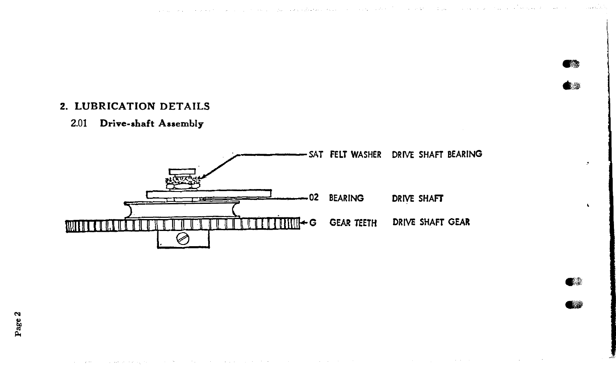### 2. LUBRICATION DETAILS

#### 2.01 Drive-shaft Assembly



「読み  $\mathcal{L}$ 

 $\ddot{\phantom{1}}$ 

 $\mathbf{r}$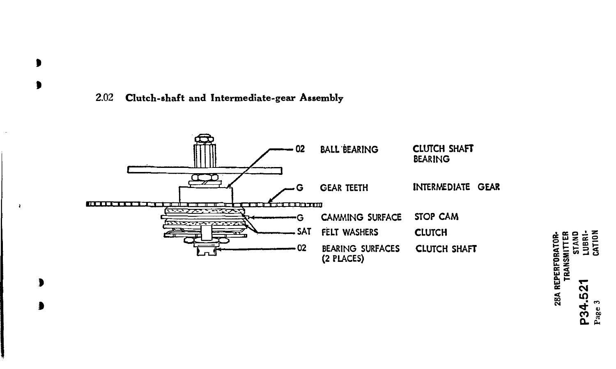#### Clutch-shaft and Intermediate-gear Assembly 2.02

 $\bullet$  $\bullet$ 

¥

 $\bullet$ 



LUBRI-CATION STAND 28A REPERFORATOR-<br>TRANSMITTER  $\alpha$ LC. 234<br>2 Pag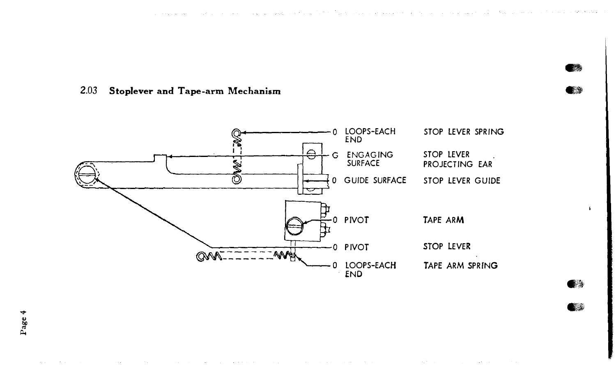**AB** 30

 $\sqrt{2}$ 

**BA** 



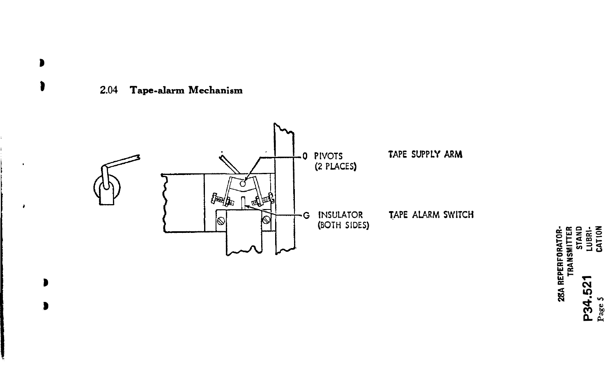

 $\bullet$  $\mathbf{a}$ 

 $\overline{a}$ 

D

 $\blacksquare$ 



28A REPERFORATOR-<br>TRANSMITTER<br>4.521 LUBRI-<br>e 5 P34.521<br>Page 5